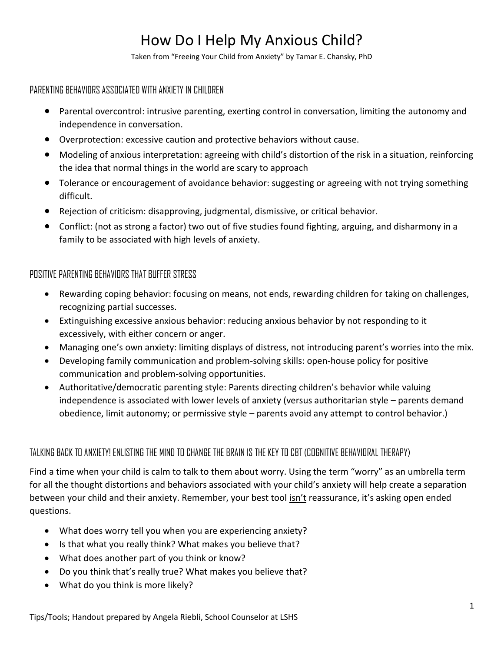# How Do I Help My Anxious Child?

Taken from "Freeing Your Child from Anxiety" by Tamar E. Chansky, PhD

## PARENTING BEHAVIORS ASSOCIATED WITH ANXIETY IN CHILDREN

- Parental overcontrol: intrusive parenting, exerting control in conversation, limiting the autonomy and independence in conversation.
- Overprotection: excessive caution and protective behaviors without cause.
- Modeling of anxious interpretation: agreeing with child's distortion of the risk in a situation, reinforcing the idea that normal things in the world are scary to approach
- Tolerance or encouragement of avoidance behavior: suggesting or agreeing with not trying something difficult.
- Rejection of criticism: disapproving, judgmental, dismissive, or critical behavior.
- Conflict: (not as strong a factor) two out of five studies found fighting, arguing, and disharmony in a family to be associated with high levels of anxiety.

## POSITIVE PARENTING BEHAVIORS THAT BUFFER STRESS

- Rewarding coping behavior: focusing on means, not ends, rewarding children for taking on challenges, recognizing partial successes.
- Extinguishing excessive anxious behavior: reducing anxious behavior by not responding to it excessively, with either concern or anger.
- Managing one's own anxiety: limiting displays of distress, not introducing parent's worries into the mix.
- Developing family communication and problem-solving skills: open-house policy for positive communication and problem-solving opportunities.
- Authoritative/democratic parenting style: Parents directing children's behavior while valuing independence is associated with lower levels of anxiety (versus authoritarian style – parents demand obedience, limit autonomy; or permissive style – parents avoid any attempt to control behavior.)

## TALKING BACK TO ANXIETY! ENLISTING THE MIND TO CHANGE THE BRAIN IS THE KEY TO CBT (COGNITIVE BEHAVIORAL THERAPY)

Find a time when your child is calm to talk to them about worry. Using the term "worry" as an umbrella term for all the thought distortions and behaviors associated with your child's anxiety will help create a separation between your child and their anxiety. Remember, your best tool isn't reassurance, it's asking open ended questions.

- What does worry tell you when you are experiencing anxiety?
- Is that what you really think? What makes you believe that?
- What does another part of you think or know?
- Do you think that's really true? What makes you believe that?
- What do you think is more likely?